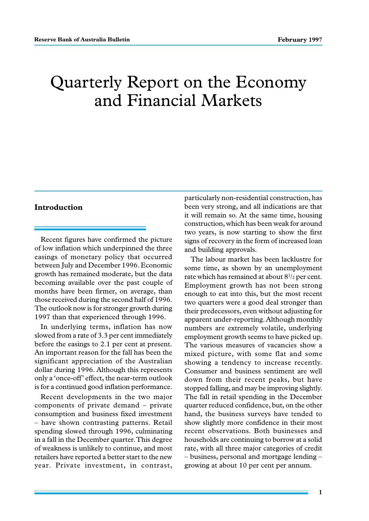# Quarterly Report on the Economy and Financial Markets

# **Introduction**

Recent figures have confirmed the picture of low inflation which underpinned the three easings of monetary policy that occurred between July and December 1996. Economic growth has remained moderate, but the data becoming available over the past couple of months have been firmer, on average, than those received during the second half of 1996. The outlook now is for stronger growth during 1997 than that experienced through 1996.

In underlying terms, inflation has now slowed from a rate of 3.3 per cent immediately before the easings to 2.1 per cent at present. An important reason for the fall has been the significant appreciation of the Australian dollar during 1996. Although this represents only a 'once-off' effect, the near-term outlook is for a continued good inflation performance.

Recent developments in the two major components of private demand – private consumption and business fixed investment – have shown contrasting patterns. Retail spending slowed through 1996, culminating in a fall in the December quarter. This degree of weakness is unlikely to continue, and most retailers have reported a better start to the new year. Private investment, in contrast, particularly non-residential construction, has been very strong, and all indications are that it will remain so. At the same time, housing construction, which has been weak for around two years, is now starting to show the first signs of recovery in the form of increased loan and building approvals.

The labour market has been lacklustre for some time, as shown by an unemployment rate which has remained at about  $8^{1/2}$  per cent. Employment growth has not been strong enough to eat into this, but the most recent two quarters were a good deal stronger than their predecessors, even without adjusting for apparent under-reporting. Although monthly numbers are extremely volatile, underlying employment growth seems to have picked up. The various measures of vacancies show a mixed picture, with some flat and some showing a tendency to increase recently. Consumer and business sentiment are well down from their recent peaks, but have stopped falling, and may be improving slightly. The fall in retail spending in the December quarter reduced confidence, but, on the other hand, the business surveys have tended to show slightly more confidence in their most recent observations. Both businesses and households are continuing to borrow at a solid rate, with all three major categories of credit – business, personal and mortgage lending – growing at about 10 per cent per annum.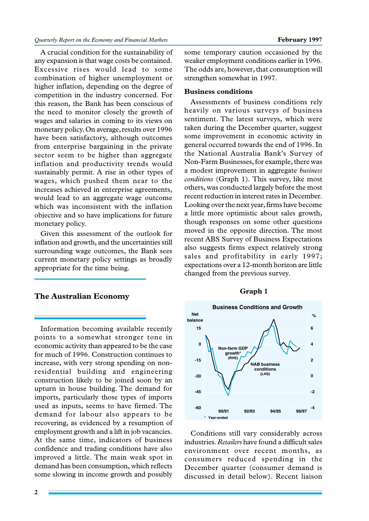A crucial condition for the sustainability of any expansion is that wage costs be contained. Excessive rises would lead to some combination of higher unemployment or higher inflation, depending on the degree of competition in the industry concerned. For this reason, the Bank has been conscious of the need to monitor closely the growth of wages and salaries in coming to its views on monetary policy. On average, results over 1996 have been satisfactory, although outcomes from enterprise bargaining in the private sector seem to be higher than aggregate inflation and productivity trends would sustainably permit. A rise in other types of wages, which pushed them near to the increases achieved in enterprise agreements, would lead to an aggregate wage outcome which was inconsistent with the inflation objective and so have implications for future monetary policy.

Given this assessment of the outlook for inflation and growth, and the uncertainties still surrounding wage outcomes, the Bank sees current monetary policy settings as broadly appropriate for the time being.

# **The Australian Economy**

Information becoming available recently points to a somewhat stronger tone in economic activity than appeared to be the case for much of 1996. Construction continues to increase, with very strong spending on nonresidential building and engineering construction likely to be joined soon by an upturn in house building. The demand for imports, particularly those types of imports used as inputs, seems to have firmed. The demand for labour also appears to be recovering, as evidenced by a resumption of employment growth and a lift in job vacancies. At the same time, indicators of business confidence and trading conditions have also improved a little. The main weak spot in demand has been consumption, which reflects some slowing in income growth and possibly

some temporary caution occasioned by the weaker employment conditions earlier in 1996. The odds are, however, that consumption will strengthen somewhat in 1997.

#### **Business conditions**

Assessments of business conditions rely heavily on various surveys of business sentiment. The latest surveys, which were taken during the December quarter, suggest some improvement in economic activity in general occurred towards the end of 1996. In the National Australia Bank's Survey of Non-Farm Businesses, for example, there was a modest improvement in aggregate *business conditions* (Graph 1)*.* This survey, like most others, was conducted largely before the most recent reduction in interest rates in December. Looking over the next year, firms have become a little more optimistic about sales growth, though responses on some other questions moved in the opposite direction. The most recent ABS Survey of Business Expectations also suggests firms expect relatively strong sales and profitability in early 1997; expectations over a 12-month horizon are little changed from the previous survey.

#### **Graph 1**



Conditions still vary considerably across industries. *Retailers* have found a difficult sales environment over recent months, as consumers reduced spending in the December quarter (consumer demand is discussed in detail below). Recent liaison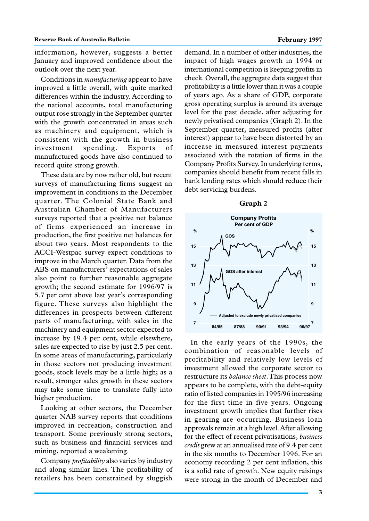information, however, suggests a better January and improved confidence about the outlook over the next year.

Conditions in *manufacturing* appear to have improved a little overall, with quite marked differences within the industry. According to the national accounts, total manufacturing output rose strongly in the September quarter with the growth concentrated in areas such as machinery and equipment, which is consistent with the growth in business investment spending. Exports of manufactured goods have also continued to record quite strong growth.

These data are by now rather old, but recent surveys of manufacturing firms suggest an improvement in conditions in the December quarter. The Colonial State Bank and Australian Chamber of Manufacturers surveys reported that a positive net balance of firms experienced an increase in production, the first positive net balances for about two years. Most respondents to the ACCI-Westpac survey expect conditions to improve in the March quarter. Data from the ABS on manufacturers' expectations of sales also point to further reasonable aggregate growth; the second estimate for 1996/97 is 5.7 per cent above last year's corresponding figure. These surveys also highlight the differences in prospects between different parts of manufacturing, with sales in the machinery and equipment sector expected to increase by 19.4 per cent, while elsewhere, sales are expected to rise by just 2.5 per cent. In some areas of manufacturing, particularly in those sectors not producing investment goods, stock levels may be a little high; as a result, stronger sales growth in these sectors may take some time to translate fully into higher production.

Looking at other sectors, the December quarter NAB survey reports that conditions improved in recreation, construction and transport. Some previously strong sectors, such as business and financial services and mining, reported a weakening.

Company *profitability* also varies by industry and along similar lines. The profitability of retailers has been constrained by sluggish

demand. In a number of other industries, the impact of high wages growth in 1994 or international competition is keeping profits in check. Overall, the aggregate data suggest that profitability is a little lower than it was a couple of years ago. As a share of GDP, corporate gross operating surplus is around its average level for the past decade, after adjusting for newly privatised companies (Graph 2). In the September quarter, measured profits (after interest) appear to have been distorted by an increase in measured interest payments associated with the rotation of firms in the Company Profits Survey. In underlying terms, companies should benefit from recent falls in bank lending rates which should reduce their debt servicing burdens.



In the early years of the 1990s, the combination of reasonable levels of profitability and relatively low levels of investment allowed the corporate sector to restructure its *balance sheet*. This process now appears to be complete, with the debt-equity ratio of listed companies in 1995/96 increasing for the first time in five years. Ongoing investment growth implies that further rises in gearing are occurring. Business loan approvals remain at a high level. After allowing for the effect of recent privatisations, *business credit* grew at an annualised rate of 9.4 per cent in the six months to December 1996. For an economy recording 2 per cent inflation, this is a solid rate of growth. New equity raisings were strong in the month of December and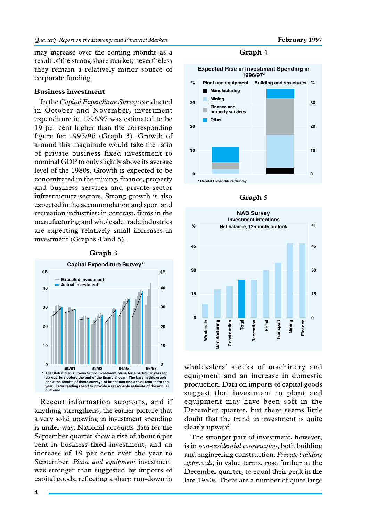may increase over the coming months as a result of the strong share market; nevertheless they remain a relatively minor source of corporate funding.

### **Business investment**

In the *Capital Expenditure Survey* conducted in October and November, investment expenditure in 1996/97 was estimated to be 19 per cent higher than the corresponding figure for 1995/96 (Graph 3). Growth of around this magnitude would take the ratio of private business fixed investment to nominal GDP to only slightly above its average level of the 1980s. Growth is expected to be concentrated in the mining, finance, property and business services and private-sector infrastructure sectors. Strong growth is also expected in the accommodation and sport and recreation industries; in contrast, firms in the manufacturing and wholesale trade industries are expecting relatively small increases in investment (Graphs 4 and 5).



Recent information supports, and if anything strengthens, the earlier picture that a very solid upswing in investment spending is under way. National accounts data for the September quarter show a rise of about 6 per cent in business fixed investment, and an increase of 19 per cent over the year to September. *Plant and equipment* investment was stronger than suggested by imports of capital goods, reflecting a sharp run-down in

**Graph 4**







wholesalers' stocks of machinery and equipment and an increase in domestic production. Data on imports of capital goods suggest that investment in plant and equipment may have been soft in the December quarter, but there seems little doubt that the trend in investment is quite clearly upward.

The stronger part of investment, however, is in *non-residential construction*, both building and engineering construction. *Private building approvals*, in value terms, rose further in the December quarter, to equal their peak in the late 1980s. There are a number of quite large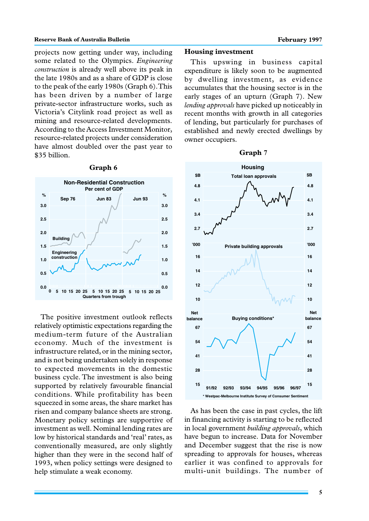projects now getting under way, including some related to the Olympics. *Engineering construction* is already well above its peak in the late 1980s and as a share of GDP is close to the peak of the early 1980s (Graph 6). This has been driven by a number of large private-sector infrastructure works, such as Victoria's Citylink road project as well as mining and resource-related developments. According to the Access Investment Monitor, resource-related projects under consideration have almost doubled over the past year to \$35 billion.



#### **Graph 6**

The positive investment outlook reflects relatively optimistic expectations regarding the medium-term future of the Australian economy. Much of the investment is infrastructure related, or in the mining sector, and is not being undertaken solely in response to expected movements in the domestic business cycle. The investment is also being supported by relatively favourable financial conditions. While profitability has been squeezed in some areas, the share market has risen and company balance sheets are strong. Monetary policy settings are supportive of investment as well. Nominal lending rates are low by historical standards and 'real' rates, as conventionally measured, are only slightly higher than they were in the second half of 1993, when policy settings were designed to help stimulate a weak economy.

# **Housing investment**

This upswing in business capital expenditure is likely soon to be augmented by dwelling investment, as evidence accumulates that the housing sector is in the early stages of an upturn (Graph 7). New *lending approvals* have picked up noticeably in recent months with growth in all categories of lending, but particularly for purchases of established and newly erected dwellings by owner occupiers.

#### **Graph 7**



As has been the case in past cycles, the lift in financing activity is starting to be reflected in local government *building approvals*, which have begun to increase. Data for November and December suggest that the rise is now spreading to approvals for houses, whereas earlier it was confined to approvals for multi-unit buildings. The number of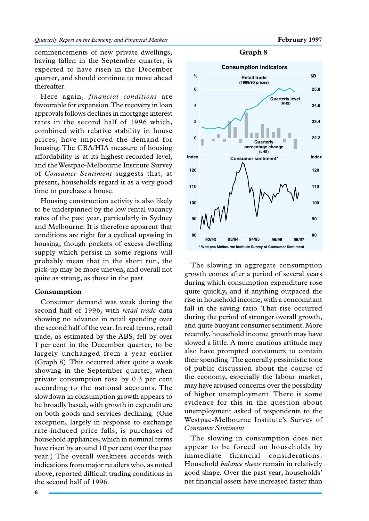**22.2**

**80**

**90**

**100**

**110**

**120**

**Index**

**23.4**

**24.6**

**25.8**

**\$B**

commencements of new private dwellings, having fallen in the September quarter, is expected to have risen in the December quarter, and should continue to move ahead thereafter.

Here again, *financial conditions* are favourable for expansion. The recovery in loan approvals follows declines in mortgage interest rates in the second half of 1996 which, combined with relative stability in house prices, have improved the demand for housing. The CBA/HIA measure of housing affordability is at its highest recorded level, and the Westpac-Melbourne Institute Survey of *Consumer Sentiment* suggests that, at present, households regard it as a very good time to purchase a house.

Housing construction activity is also likely to be underpinned by the low rental vacancy rates of the past year, particularly in Sydney and Melbourne. It is therefore apparent that conditions are right for a cyclical upswing in housing, though pockets of excess dwelling supply which persist in some regions will probably mean that in the short run, the pick-up may be more uneven, and overall not quite as strong, as those in the past.

# **Consumption**

Consumer demand was weak during the second half of 1996, with *retail trade* data showing no advance in retail spending over the second half of the year. In real terms, retail trade, as estimated by the ABS, fell by over 1 per cent in the December quarter, to be largely unchanged from a year earlier (Graph 8). This occurred after quite a weak showing in the September quarter, when private consumption rose by 0.3 per cent according to the national accounts. The slowdown in consumption growth appears to be broadly based, with growth in expenditure on both goods and services declining. (One exception, largely in response to exchange rate-induced price falls, is purchases of household appliances, which in nominal terms have risen by around 10 per cent over the past year.) The overall weakness accords with indications from major retailers who, as noted above, reported difficult trading conditions in the second half of 1996.



**Graph 8**

The slowing in aggregate consumption growth comes after a period of several years during which consumption expenditure rose quite quickly, and if anything outpaced the rise in household income, with a concomitant fall in the saving ratio. That rise occurred during the period of stronger overall growth, and quite buoyant consumer sentiment. More recently, household income growth may have slowed a little. A more cautious attitude may also have prompted consumers to contain their spending. The generally pessimistic tone of public discussion about the course of the economy, especially the labour market, may have aroused concerns over the possibility of higher unemployment. There is some evidence for this in the question about unemployment asked of respondents to the Westpac-Melbourne Institute's Survey of *Consumer Sentiment*.

The slowing in consumption does not appear to be forced on households by immediate financial considerations. Household *balance sheets* remain in relatively good shape. Over the past year, households' net financial assets have increased faster than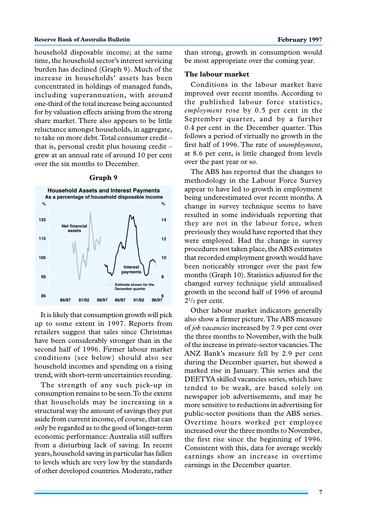household disposable income; at the same time, the household sector's interest servicing burden has declined (Graph 9). Much of the increase in households' assets has been concentrated in holdings of managed funds, including superannuation, with around one-third of the total increase being accounted for by valuation effects arising from the strong share market. There also appears to be little reluctance amongst households, in aggregate, to take on more debt. Total consumer credit – that is, personal credit plus housing credit – grew at an annual rate of around 10 per cent over the six months to December.

#### **Graph 9**



It is likely that consumption growth will pick up to some extent in 1997. Reports from retailers suggest that sales since Christmas have been considerably stronger than in the second half of 1996. Firmer labour market conditions (see below) should also see household incomes and spending on a rising trend, with short-term uncertainties receding.

The strength of any such pick-up in consumption remains to be seen. To the extent that households may be increasing in a structural way the amount of savings they put aside from current income, of course, that can only be regarded as to the good of longer-term economic performance: Australia still suffers from a disturbing lack of saving. In recent years, household saving in particular has fallen to levels which are very low by the standards of other developed countries. Moderate, rather

than strong, growth in consumption would be most appropriate over the coming year.

# **The labour market**

Conditions in the labour market have improved over recent months. According to the published labour force statistics, *employment* rose by 0.5 per cent in the September quarter, and by a further 0.4 per cent in the December quarter. This follows a period of virtually no growth in the first half of 1996. The rate of *unemployment*, at 8.6 per cent, is little changed from levels over the past year or so.

The ABS has reported that the changes to methodology in the Labour Force Survey appear to have led to growth in employment being underestimated over recent months. A change in survey technique seems to have resulted in some individuals reporting that they are not in the labour force, when previously they would have reported that they were employed. Had the change in survey procedures not taken place, the ABS estimates that recorded employment growth would have been noticeably stronger over the past few months (Graph 10). Statistics adjusted for the changed survey technique yield annualised growth in the second half of 1996 of around  $2^{1/2}$  per cent.

Other labour market indicators generally also show a firmer picture. The ABS measure of *job vacancies* increased by 7.9 per cent over the three months to November, with the bulk of the increase in private-sector vacancies. The ANZ Bank's measure fell by 2.9 per cent during the December quarter, but showed a marked rise in January. This series and the DEETYA skilled vacancies series, which have tended to be weak, are based solely on newspaper job advertisements, and may be more sensitive to reductions in advertising for public-sector positions than the ABS series. Overtime hours worked per employee increased over the three months to November, the first rise since the beginning of 1996. Consistent with this, data for average weekly earnings show an increase in overtime earnings in the December quarter.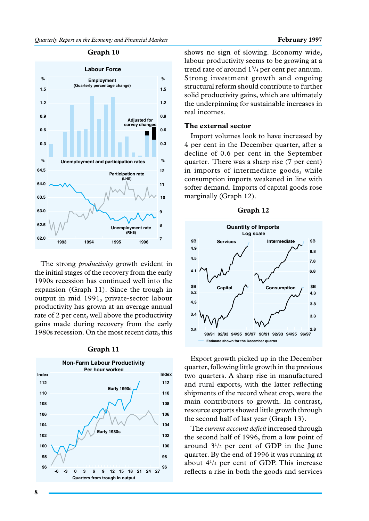# **Labour Force Unemployment and participation rates % % Employment Adjusted for** survey chang **(Quarterly percentage change)**

**0.3 0.6 0.9 1.2 1.5**

**%**

**62.0 62.5 63.0 63.5 64.0 64.5**

The strong *productivity* growth evident in the initial stages of the recovery from the early 1990s recession has continued well into the expansion (Graph 11). Since the trough in output in mid 1991, private-sector labour productivity has grown at an average annual rate of 2 per cent, well above the productivity gains made during recovery from the early 1980s recession. On the most recent data, this

**1993 1994 1995**

# **Graph 11**



shows no sign of slowing. Economy wide, labour productivity seems to be growing at a trend rate of around  $1\frac{3}{4}$  per cent per annum. Strong investment growth and ongoing structural reform should contribute to further solid productivity gains, which are ultimately the underpinning for sustainable increases in real incomes.

#### **The external sector**

**0.3 0.6 0.9 1.2 1.5**

**%**

**7 8 9**

**Unemployment rate**

**(RHS)**

**1996**

**Participation rate**

**(LHS)**

**10 11 12**

Import volumes look to have increased by 4 per cent in the December quarter, after a decline of 0.6 per cent in the September quarter. There was a sharp rise (7 per cent) in imports of intermediate goods, while consumption imports weakened in line with softer demand. Imports of capital goods rose marginally (Graph 12).





Export growth picked up in the December quarter, following little growth in the previous two quarters. A sharp rise in manufactured and rural exports, with the latter reflecting shipments of the record wheat crop, were the main contributors to growth. In contrast, resource exports showed little growth through the second half of last year (Graph 13).

The *current account deficit* increased through the second half of 1996, from a low point of around  $3^{1/2}$  per cent of GDP in the June quarter. By the end of 1996 it was running at about 41 /4 per cent of GDP. This increase reflects a rise in both the goods and services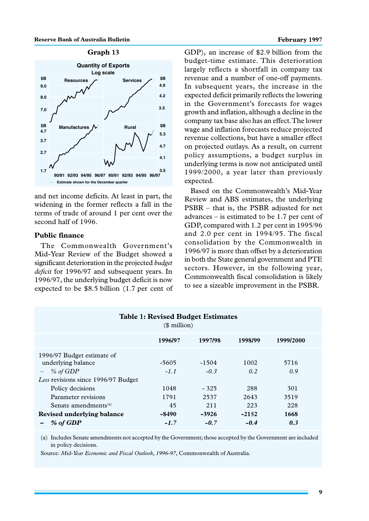



and net income deficits. At least in part, the widening in the former reflects a fall in the terms of trade of around 1 per cent over the second half of 1996.

# **Public finance**

The Commonwealth Government's Mid-Year Review of the Budget showed a significant deterioration in the projected *budget deficit* for 1996/97 and subsequent years. In 1996/97, the underlying budget deficit is now expected to be \$8.5 billion (1.7 per cent of

GDP), an increase of \$2.9 billion from the budget-time estimate. This deterioration largely reflects a shortfall in company tax revenue and a number of one-off payments. In subsequent years, the increase in the expected deficit primarily reflects the lowering in the Government's forecasts for wages growth and inflation, although a decline in the company tax base also has an effect. The lower wage and inflation forecasts reduce projected revenue collections, but have a smaller effect on projected outlays. As a result, on current policy assumptions, a budget surplus in underlying terms is now not anticipated until 1999/2000, a year later than previously expected.

Based on the Commonwealth's Mid-Year Review and ABS estimates, the underlying PSBR – that is, the PSBR adjusted for net advances – is estimated to be 1.7 per cent of GDP, compared with 1.2 per cent in 1995/96 and 2.0 per cent in 1994/95. The fiscal consolidation by the Commonwealth in 1996/97 is more than offset by a deterioration in both the State general government and PTE sectors. However, in the following year, Commonwealth fiscal consolidation is likely to see a sizeable improvement in the PSBR.

| <b>Table 1: Revised Budget Estimates</b><br>$$$ million) |         |         |         |           |  |
|----------------------------------------------------------|---------|---------|---------|-----------|--|
|                                                          | 1996/97 | 1997/98 | 1998/99 | 1999/2000 |  |
| 1996/97 Budget estimate of                               |         |         |         |           |  |
| underlying balance                                       | -5605   | $-1504$ | 1002    | 5716      |  |
| % of GDP<br>Less revisions since 1996/97 Budget          | $-1.1$  | $-0.3$  | 0.2     | 0.9       |  |
| Policy decisions                                         | 1048    | $-325$  | 288     | 301       |  |
| Parameter revisions                                      | 1791    | 2537    | 2643    | 3519      |  |
| Senate amendments <sup>(a)</sup>                         | 45      | 211     | 223     | 228       |  |
| Revised underlying balance                               | $-8490$ | $-3926$ | $-2152$ | 1668      |  |
| % of GDP                                                 | $-1.7$  | $-0.7$  | $-0.4$  | 0.3       |  |

(a) Includes Senate amendments not accepted by the Government; those accepted by the Government are included in policy decisions.

Source: *Mid-Year Economic and Fiscal Outlook, 1996-97*, Commonwealth of Australia.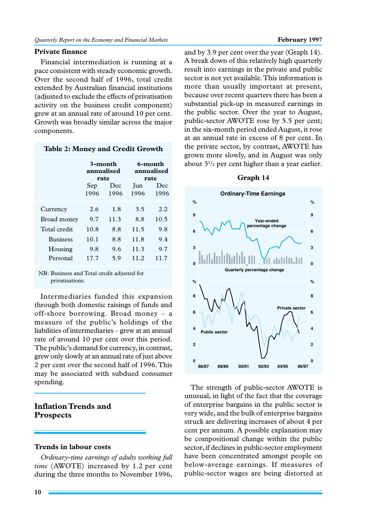# **Private finance**

Financial intermediation is running at a pace consistent with steady economic growth. Over the second half of 1996, total credit extended by Australian financial institutions (adjusted to exclude the effects of privatisation activity on the business credit component) grew at an annual rate of around 10 per cent. Growth was broadly similar across the major components.

#### **Table 2: Money and Credit Growth**

|                 | 3-month<br>annualised<br>rate |             |             | 6-month<br>annualised<br>rate |
|-----------------|-------------------------------|-------------|-------------|-------------------------------|
|                 | Sep<br>1996                   | Dec<br>1996 | Jun<br>1996 | Dec<br>1996                   |
| Currency        | 2.6                           | 1.8         | 3.5         | 2.2.                          |
| Broad money     | 9.7                           | 11.3        | 8.8         | 10.5                          |
| Total credit    | 10.8                          | 8.8         | 11.5        | 9.8                           |
| <b>Business</b> | 10.1                          | 8.8         | 11.8        | 9.4                           |
| Housing         | 9.8                           | 9.6         | 11.3        | 9.7                           |
| Personal        | 17.7                          | 5.9         | 11.2        | 11.7                          |

NB: Business and Total credit adjusted for privatisations.

Intermediaries funded this expansion through both domestic raisings of funds and off-shore borrowing. Broad money – a measure of the public's holdings of the liabilities of intermediaries – grew at an annual rate of around 10 per cent over this period. The public's demand for currency, in contrast, grew only slowly at an annual rate of just above 2 per cent over the second half of 1996. This may be associated with subdued consumer spending.

# **Inflation Trends and Prospects**

# **Trends in labour costs**

*Ordinary-time earnings of adults working full time* (AWOTE) increased by 1.2 per cent during the three months to November 1996,

and by 3.9 per cent over the year (Graph 14). A break down of this relatively high quarterly result into earnings in the private and public sector is not yet available. This information is more than usually important at present, because over recent quarters there has been a substantial pick-up in measured earnings in the public sector. Over the year to August, public-sector AWOTE rose by 5.5 per cent; in the six-month period ended August, it rose at an annual rate in excess of 8 per cent. In the private sector, by contrast, AWOTE has grown more slowly, and in August was only about  $3^{1/2}$  per cent higher than a year earlier.





The strength of public-sector AWOTE is unusual, in light of the fact that the coverage of enterprise bargains in the public sector is very wide, and the bulk of enterprise bargains struck are delivering increases of about 4 per cent per annum. A possible explanation may be compositional change within the public sector, if declines in public-sector employment have been concentrated amongst people on below-average earnings. If measures of public-sector wages are being distorted at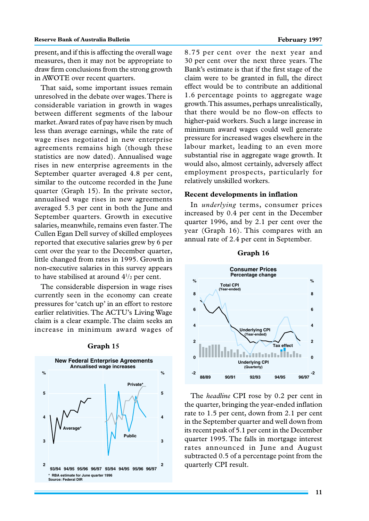present, and if this is affecting the overall wage measures, then it may not be appropriate to draw firm conclusions from the strong growth in AWOTE over recent quarters.

That said, some important issues remain unresolved in the debate over wages. There is considerable variation in growth in wages between different segments of the labour market. Award rates of pay have risen by much less than average earnings, while the rate of wage rises negotiated in new enterprise agreements remains high (though these statistics are now dated). Annualised wage rises in new enterprise agreements in the September quarter averaged 4.8 per cent, similar to the outcome recorded in the June quarter (Graph 15). In the private sector, annualised wage rises in new agreements averaged 5.3 per cent in both the June and September quarters. Growth in executive salaries, meanwhile, remains even faster. The Cullen Egan Dell survey of skilled employees reported that executive salaries grew by 6 per cent over the year to the December quarter, little changed from rates in 1995. Growth in non-executive salaries in this survey appears to have stabilised at around  $4\frac{1}{2}$  per cent.

The considerable dispersion in wage rises currently seen in the economy can create pressures for 'catch up' in an effort to restore earlier relativities. The ACTU's Living Wage claim is a clear example. The claim seeks an increase in minimum award wages of



#### **Graph 15**

8.75 per cent over the next year and 30 per cent over the next three years. The Bank's estimate is that if the first stage of the claim were to be granted in full, the direct effect would be to contribute an additional 1.6 percentage points to aggregate wage growth. This assumes, perhaps unrealistically, that there would be no flow-on effects to higher-paid workers. Such a large increase in minimum award wages could well generate pressure for increased wages elsewhere in the labour market, leading to an even more substantial rise in aggregate wage growth. It would also, almost certainly, adversely affect employment prospects, particularly for relatively unskilled workers.

#### **Recent developments in inflation**

In *underlying* terms, consumer prices increased by 0.4 per cent in the December quarter 1996, and by 2.1 per cent over the year (Graph 16). This compares with an annual rate of 2.4 per cent in September.



The *headline* CPI rose by 0.2 per cent in the quarter, bringing the year-ended inflation rate to 1.5 per cent, down from 2.1 per cent in the September quarter and well down from its recent peak of 5.1 per cent in the December quarter 1995. The falls in mortgage interest rates announced in June and August subtracted 0.5 of a percentage point from the quarterly CPI result.

#### **Graph 16**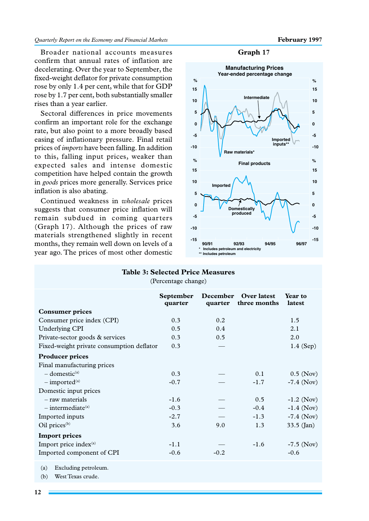#### *Quarterly Report on the Economy and Financial Markets* **February 1997**

Broader national accounts measures confirm that annual rates of inflation are decelerating. Over the year to September, the fixed-weight deflator for private consumption rose by only 1.4 per cent, while that for GDP rose by 1.7 per cent, both substantially smaller rises than a year earlier.

Sectoral differences in price movements confirm an important role for the exchange rate, but also point to a more broadly based easing of inflationary pressure. Final retail prices of *imports* have been falling. In addition to this, falling input prices, weaker than expected sales and intense domestic competition have helped contain the growth in *goods* prices more generally. Services price inflation is also abating.

Continued weakness in *wholesale* prices suggests that consumer price inflation will remain subdued in coming quarters (Graph 17). Although the prices of raw materials strengthened slightly in recent months, they remain well down on levels of a year ago. The prices of most other domestic

#### **Graph 17**



# **Table 3: Selected Price Measures**

(Percentage change)

|                                           | <b>September</b><br>quarter | December<br>quarter | Over latest<br>three months | <b>Year to</b><br>latest |
|-------------------------------------------|-----------------------------|---------------------|-----------------------------|--------------------------|
| <b>Consumer prices</b>                    |                             |                     |                             |                          |
| Consumer price index (CPI)                | 0.3                         | 0.2                 |                             | 1.5                      |
| Underlying CPI                            | 0.5                         | 0.4                 |                             | 2.1                      |
| Private-sector goods & services           | 0.3                         | 0.5                 |                             | 2.0                      |
| Fixed-weight private consumption deflator | 0.3                         |                     |                             | $1.4$ (Sep)              |
| <b>Producer prices</b>                    |                             |                     |                             |                          |
| Final manufacturing prices                |                             |                     |                             |                          |
| $-$ domestic <sup>(a)</sup>               | 0.3                         |                     | 0.1                         | $0.5$ (Nov)              |
| $-$ imported <sup>(a)</sup>               | $-0.7$                      |                     | $-1.7$                      | $-7.4$ (Nov)             |
| Domestic input prices                     |                             |                     |                             |                          |
| - raw materials                           | $-1.6$                      |                     | 0.5                         | $-1.2$ (Nov)             |
| $-$ intermediate <sup>(a)</sup>           | $-0.3$                      |                     | $-0.4$                      | $-1.4$ (Nov)             |
| Imported inputs                           | $-2.7$                      |                     | $-1.3$                      | $-7.4$ (Nov)             |
| Oil prices <sup>(b)</sup>                 | 3.6                         | 9.0                 | 1.3                         | $33.5$ (Jan)             |
| <b>Import prices</b>                      |                             |                     |                             |                          |
| Import price index <sup>(a)</sup>         | $-1.1$                      |                     | $-1.6$                      | $-7.5$ (Nov)             |
| Imported component of CPI                 | $-0.6$                      | $-0.2$              |                             | $-0.6$                   |

(a) Excluding petroleum.

(b) West Texas crude.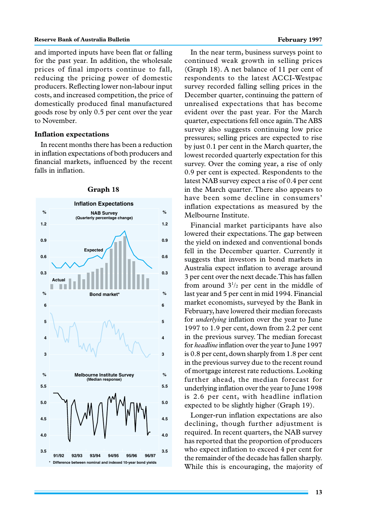#### **Reserve Bank of Australia Bulletin February 1997 February 1997**

and imported inputs have been flat or falling for the past year. In addition, the wholesale prices of final imports continue to fall, reducing the pricing power of domestic producers. Reflecting lower non-labour input costs, and increased competition, the price of domestically produced final manufactured goods rose by only 0.5 per cent over the year to November.

# **Inflation expectations**

In recent months there has been a reduction in inflation expectations of both producers and financial markets, influenced by the recent falls in inflation.



#### **Graph 18**

In the near term, business surveys point to continued weak growth in selling prices (Graph 18). A net balance of 11 per cent of respondents to the latest ACCI-Westpac survey recorded falling selling prices in the December quarter, continuing the pattern of unrealised expectations that has become evident over the past year. For the March quarter, expectations fell once again. The ABS survey also suggests continuing low price pressures; selling prices are expected to rise by just 0.1 per cent in the March quarter, the lowest recorded quarterly expectation for this survey. Over the coming year, a rise of only 0.9 per cent is expected. Respondents to the latest NAB survey expect a rise of 0.4 per cent in the March quarter. There also appears to have been some decline in consumers' inflation expectations as measured by the Melbourne Institute.

Financial market participants have also lowered their expectations. The gap between the yield on indexed and conventional bonds fell in the December quarter. Currently it suggests that investors in bond markets in Australia expect inflation to average around 3 per cent over the next decade. This has fallen from around  $3^{1/2}$  per cent in the middle of last year and 5 per cent in mid 1994. Financial market economists, surveyed by the Bank in February, have lowered their median forecasts for *underlying* inflation over the year to June 1997 to 1.9 per cent, down from 2.2 per cent in the previous survey. The median forecast for *headline* inflation over the year to June 1997 is 0.8 per cent, down sharply from 1.8 per cent in the previous survey due to the recent round of mortgage interest rate reductions. Looking further ahead, the median forecast for underlying inflation over the year to June 1998 is 2.6 per cent, with headline inflation expected to be slightly higher (Graph 19).

Longer-run inflation expectations are also declining, though further adjustment is required. In recent quarters, the NAB survey has reported that the proportion of producers who expect inflation to exceed 4 per cent for the remainder of the decade has fallen sharply. While this is encouraging, the majority of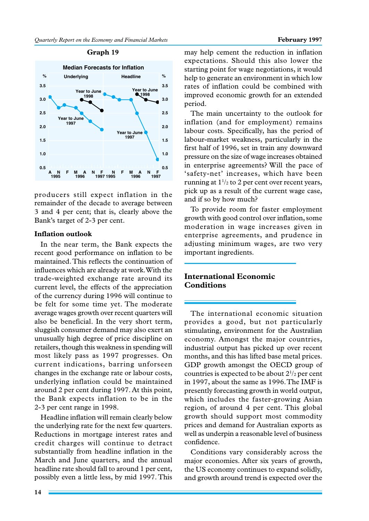# **Graph 19**



producers still expect inflation in the remainder of the decade to average between 3 and 4 per cent; that is, clearly above the Bank's target of 2-3 per cent.

# **Inflation outlook**

In the near term, the Bank expects the recent good performance on inflation to be maintained. This reflects the continuation of influences which are already at work. With the trade-weighted exchange rate around its current level, the effects of the appreciation of the currency during 1996 will continue to be felt for some time yet. The moderate average wages growth over recent quarters will also be beneficial. In the very short term, sluggish consumer demand may also exert an unusually high degree of price discipline on retailers, though this weakness in spending will most likely pass as 1997 progresses. On current indications, barring unforseen changes in the exchange rate or labour costs, underlying inflation could be maintained around 2 per cent during 1997. At this point, the Bank expects inflation to be in the 2-3 per cent range in 1998.

Headline inflation will remain clearly below the underlying rate for the next few quarters. Reductions in mortgage interest rates and credit charges will continue to detract substantially from headline inflation in the March and June quarters, and the annual headline rate should fall to around 1 per cent, possibly even a little less, by mid 1997. This

may help cement the reduction in inflation expectations. Should this also lower the starting point for wage negotiations, it would help to generate an environment in which low rates of inflation could be combined with improved economic growth for an extended period.

The main uncertainty to the outlook for inflation (and for employment) remains labour costs. Specifically, has the period of labour-market weakness, particularly in the first half of 1996, set in train any downward pressure on the size of wage increases obtained in enterprise agreements? Will the pace of 'safety-net' increases, which have been running at  $1\frac{1}{2}$  to 2 per cent over recent years, pick up as a result of the current wage case, and if so by how much?

To provide room for faster employment growth with good control over inflation, some moderation in wage increases given in enterprise agreements, and prudence in adjusting minimum wages, are two very important ingredients.

# **International Economic Conditions**

The international economic situation provides a good, but not particularly stimulating, environment for the Australian economy. Amongst the major countries, industrial output has picked up over recent months, and this has lifted base metal prices. GDP growth amongst the OECD group of countries is expected to be about  $2^{1/2}$  per cent in 1997, about the same as 1996. The IMF is presently forecasting growth in world output, which includes the faster-growing Asian region, of around 4 per cent. This global growth should support most commodity prices and demand for Australian exports as well as underpin a reasonable level of business confidence.

Conditions vary considerably across the major economies. After six years of growth, the US economy continues to expand solidly, and growth around trend is expected over the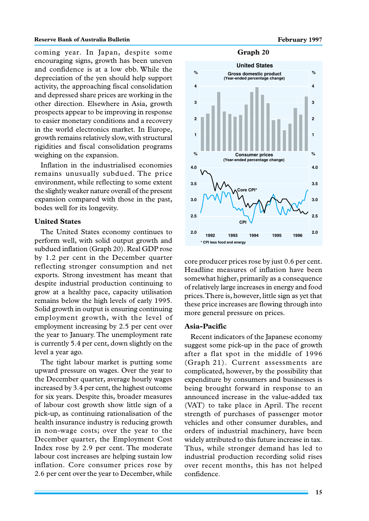# **Reserve Bank of Australia Bulletin February 1997**

coming year. In Japan, despite some encouraging signs, growth has been uneven and confidence is at a low ebb. While the depreciation of the yen should help support activity, the approaching fiscal consolidation and depressed share prices are working in the other direction. Elsewhere in Asia, growth prospects appear to be improving in response to easier monetary conditions and a recovery in the world electronics market. In Europe, growth remains relatively slow, with structural rigidities and fiscal consolidation programs weighing on the expansion.

Inflation in the industrialised economies remains unusually subdued. The price environment, while reflecting to some extent the slightly weaker nature overall of the present expansion compared with those in the past, bodes well for its longevity.

#### **United States**

The United States economy continues to perform well, with solid output growth and subdued inflation (Graph 20). Real GDP rose by 1.2 per cent in the December quarter reflecting stronger consumption and net exports. Strong investment has meant that despite industrial production continuing to grow at a healthy pace, capacity utilisation remains below the high levels of early 1995. Solid growth in output is ensuring continuing employment growth, with the level of employment increasing by 2.5 per cent over the year to January. The unemployment rate is currently 5.4 per cent, down slightly on the level a year ago.

The tight labour market is putting some upward pressure on wages. Over the year to the December quarter, average hourly wages increased by 3.4 per cent, the highest outcome for six years. Despite this, broader measures of labour cost growth show little sign of a pick-up, as continuing rationalisation of the health insurance industry is reducing growth in non-wage costs; over the year to the December quarter, the Employment Cost Index rose by 2.9 per cent. The moderate labour cost increases are helping sustain low inflation. Core consumer prices rose by 2.6 per cent over the year to December, while





core producer prices rose by just 0.6 per cent. Headline measures of inflation have been somewhat higher, primarily as a consequence of relatively large increases in energy and food prices. There is, however, little sign as yet that these price increases are flowing through into more general pressure on prices.

# **Asia-Pacific**

Recent indicators of the Japanese economy suggest some pick-up in the pace of growth after a flat spot in the middle of 1996 (Graph 21). Current assessments are complicated, however, by the possibility that expenditure by consumers and businesses is being brought forward in response to an announced increase in the value-added tax (VAT) to take place in April. The recent strength of purchases of passenger motor vehicles and other consumer durables, and orders of industrial machinery, have been widely attributed to this future increase in tax. Thus, while stronger demand has led to industrial production recording solid rises over recent months, this has not helped confidence.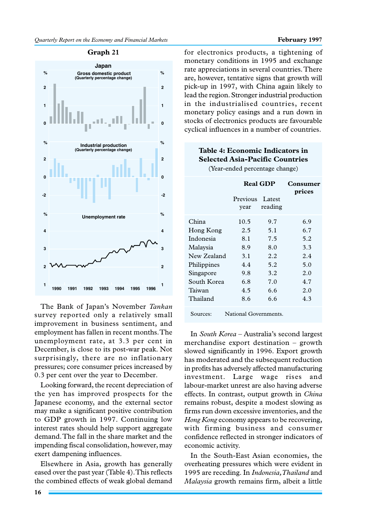

**Graph 21**

The Bank of Japan's November *Tankan* survey reported only a relatively small improvement in business sentiment, and employment has fallen in recent months. The unemployment rate, at 3.3 per cent in December, is close to its post-war peak. Not surprisingly, there are no inflationary pressures; core consumer prices increased by 0.3 per cent over the year to December.

Looking forward, the recent depreciation of the yen has improved prospects for the Japanese economy, and the external sector may make a significant positive contribution to GDP growth in 1997. Continuing low interest rates should help support aggregate demand. The fall in the share market and the impending fiscal consolidation, however, may exert dampening influences.

Elsewhere in Asia, growth has generally eased over the past year (Table 4). This reflects the combined effects of weak global demand

for electronics products, a tightening of monetary conditions in 1995 and exchange rate appreciations in several countries. There are, however, tentative signs that growth will pick-up in 1997, with China again likely to lead the region. Stronger industrial production in the industrialised countries, recent monetary policy easings and a run down in stocks of electronics products are favourable cyclical influences in a number of countries.

# **Table 4: Economic Indicators in Selected Asia-Pacific Countries** (Year-ended percentage change)

|             | <b>Real GDP</b>       |                   | Consumer<br>prices |  |
|-------------|-----------------------|-------------------|--------------------|--|
|             | Previous<br>vear      | Latest<br>reading |                    |  |
| China       | 10.5                  | 9.7               | 6.9                |  |
| Hong Kong   | 2.5                   | 5.1               | 6.7                |  |
| Indonesia   | 8.1                   | 7.5               | 5.2                |  |
| Malaysia    | 8.9                   | 8.0               | 3.3                |  |
| New Zealand | 3.1                   | 2.2.              | 2.4                |  |
| Philippines | 4.4                   | 5.2               | 5.0                |  |
| Singapore   | 9.8                   | 3.2               | 2.0                |  |
| South Korea | 6.8                   | 7.0               | 4.7                |  |
| Taiwan      | 4.5                   | 6.6               | 2.0                |  |
| Thailand    | 8.6                   | 6.6               | 4.3                |  |
| Sources:    | National Governments. |                   |                    |  |

In *South Korea* – Australia's second largest merchandise export destination – growth slowed significantly in 1996. Export growth has moderated and the subsequent reduction in profits has adversely affected manufacturing investment. Large wage rises and labour-market unrest are also having adverse effects. In contrast, output growth in *China* remains robust, despite a modest slowing as firms run down excessive inventories, and the *Hong Kong* economy appears to be recovering, with firming business and consumer confidence reflected in stronger indicators of economic activity.

In the South-East Asian economies, the overheating pressures which were evident in 1995 are receding. In *Indonesia, Thailand* and *Malaysia* growth remains firm, albeit a little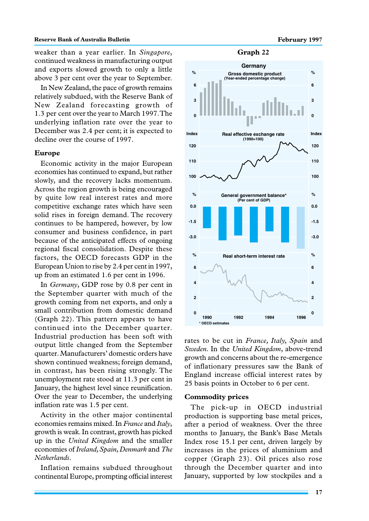weaker than a year earlier. In *Singapore*, continued weakness in manufacturing output and exports slowed growth to only a little above 3 per cent over the year to September.

In New Zealand, the pace of growth remains relatively subdued, with the Reserve Bank of New Zealand forecasting growth of 1.3 per cent over the year to March 1997. The underlying inflation rate over the year to December was 2.4 per cent; it is expected to decline over the course of 1997.

#### **Europe**

Economic activity in the major European economies has continued to expand, but rather slowly, and the recovery lacks momentum. Across the region growth is being encouraged by quite low real interest rates and more competitive exchange rates which have seen solid rises in foreign demand. The recovery continues to be hampered, however, by low consumer and business confidence, in part because of the anticipated effects of ongoing regional fiscal consolidation. Despite these factors, the OECD forecasts GDP in the European Union to rise by 2.4 per cent in 1997, up from an estimated 1.6 per cent in 1996.

In *Germany*, GDP rose by 0.8 per cent in the September quarter with much of the growth coming from net exports, and only a small contribution from domestic demand (Graph 22). This pattern appears to have continued into the December quarter. Industrial production has been soft with output little changed from the September quarter. Manufacturers' domestic orders have shown continued weakness; foreign demand, in contrast, has been rising strongly. The unemployment rate stood at 11.3 per cent in January, the highest level since reunification. Over the year to December, the underlying inflation rate was 1.5 per cent.

Activity in the other major continental economies remains mixed. In *France* and *Italy*, growth is weak. In contrast, growth has picked up in the *United Kingdom* and the smaller economies of *Ireland, Spain, Denmark* and *The Netherlands*.

Inflation remains subdued throughout continental Europe, prompting official interest

#### **Graph 22**



rates to be cut in *France, Italy, Spain* and *Sweden*. In the *United Kingdom*, above-trend growth and concerns about the re-emergence of inflationary pressures saw the Bank of England increase official interest rates by 25 basis points in October to 6 per cent.

#### **Commodity prices**

The pick-up in OECD industrial production is supporting base metal prices, after a period of weakness. Over the three months to January, the Bank's Base Metals Index rose 15.1 per cent, driven largely by increases in the prices of aluminium and copper (Graph 23). Oil prices also rose through the December quarter and into January, supported by low stockpiles and a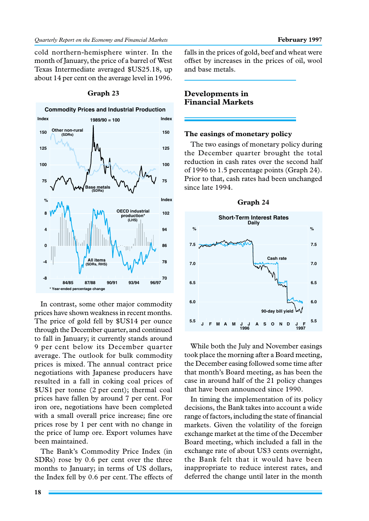cold northern-hemisphere winter. In the month of January, the price of a barrel of West Texas Intermediate averaged \$US25.18, up about 14 per cent on the average level in 1996.



#### **Graph 23**

In contrast, some other major commodity prices have shown weakness in recent months. The price of gold fell by \$US14 per ounce through the December quarter, and continued to fall in January; it currently stands around 9 per cent below its December quarter average. The outlook for bulk commodity prices is mixed. The annual contract price negotiations with Japanese producers have resulted in a fall in coking coal prices of \$US1 per tonne (2 per cent); thermal coal prices have fallen by around 7 per cent. For iron ore, negotiations have been completed with a small overall price increase; fine ore prices rose by 1 per cent with no change in the price of lump ore. Export volumes have been maintained.

The Bank's Commodity Price Index (in SDRs) rose by 0.6 per cent over the three months to January; in terms of US dollars, the Index fell by 0.6 per cent. The effects of falls in the prices of gold, beef and wheat were offset by increases in the prices of oil, wool and base metals.

# **Developments in Financial Markets**

### **The easings of monetary policy**

The two easings of monetary policy during the December quarter brought the total reduction in cash rates over the second half of 1996 to 1.5 percentage points (Graph 24). Prior to that, cash rates had been unchanged since late 1994.



While both the July and November easings took place the morning after a Board meeting, the December easing followed some time after that month's Board meeting, as has been the case in around half of the 21 policy changes that have been announced since 1990.

In timing the implementation of its policy decisions, the Bank takes into account a wide range of factors, including the state of financial markets. Given the volatility of the foreign exchange market at the time of the December Board meeting, which included a fall in the exchange rate of about US3 cents overnight, the Bank felt that it would have been inappropriate to reduce interest rates, and deferred the change until later in the month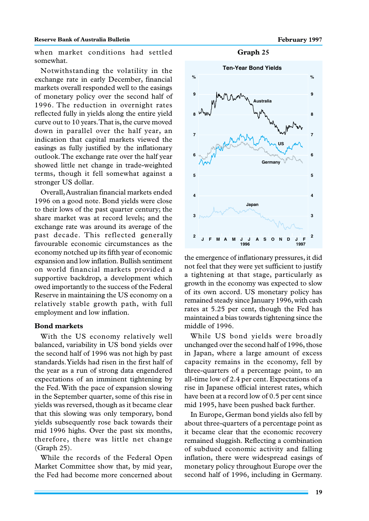#### **Reserve Bank of Australia Bulletin February 1997 February 1997**

when market conditions had settled somewhat.

Notwithstanding the volatility in the exchange rate in early December, financial markets overall responded well to the easings of monetary policy over the second half of 1996. The reduction in overnight rates reflected fully in yields along the entire yield curve out to 10 years. That is, the curve moved down in parallel over the half year, an indication that capital markets viewed the easings as fully justified by the inflationary outlook. The exchange rate over the half year showed little net change in trade-weighted terms, though it fell somewhat against a stronger US dollar.

Overall, Australian financial markets ended 1996 on a good note. Bond yields were close to their lows of the past quarter century; the share market was at record levels; and the exchange rate was around its average of the past decade. This reflected generally favourable economic circumstances as the economy notched up its fifth year of economic expansion and low inflation. Bullish sentiment on world financial markets provided a supportive backdrop, a development which owed importantly to the success of the Federal Reserve in maintaining the US economy on a relatively stable growth path, with full employment and low inflation.

# **Bond markets**

With the US economy relatively well balanced, variability in US bond yields over the second half of 1996 was not high by past standards. Yields had risen in the first half of the year as a run of strong data engendered expectations of an imminent tightening by the Fed. With the pace of expansion slowing in the September quarter, some of this rise in yields was reversed, though as it became clear that this slowing was only temporary, bond yields subsequently rose back towards their mid 1996 highs. Over the past six months, therefore, there was little net change (Graph 25).

While the records of the Federal Open Market Committee show that, by mid year, the Fed had become more concerned about

**Graph 25**



the emergence of inflationary pressures, it did not feel that they were yet sufficient to justify a tightening at that stage, particularly as growth in the economy was expected to slow of its own accord. US monetary policy has remained steady since January 1996, with cash rates at 5.25 per cent, though the Fed has maintained a bias towards tightening since the middle of 1996.

While US bond yields were broadly unchanged over the second half of 1996, those in Japan, where a large amount of excess capacity remains in the economy, fell by three-quarters of a percentage point, to an all-time low of 2.4 per cent. Expectations of a rise in Japanese official interest rates, which have been at a record low of 0.5 per cent since mid 1995, have been pushed back further.

In Europe, German bond yields also fell by about three-quarters of a percentage point as it became clear that the economic recovery remained sluggish. Reflecting a combination of subdued economic activity and falling inflation, there were widespread easings of monetary policy throughout Europe over the second half of 1996, including in Germany.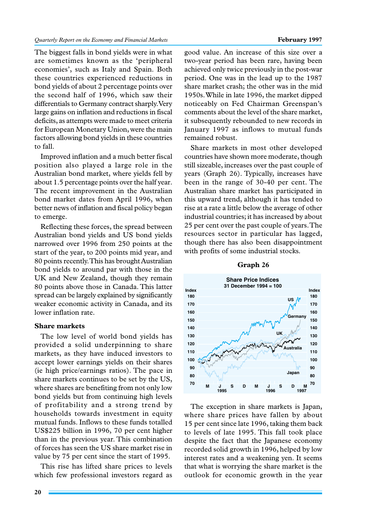The biggest falls in bond yields were in what are sometimes known as the 'peripheral economies', such as Italy and Spain. Both these countries experienced reductions in bond yields of about 2 percentage points over the second half of 1996, which saw their differentials to Germany contract sharply. Very large gains on inflation and reductions in fiscal deficits, as attempts were made to meet criteria for European Monetary Union, were the main factors allowing bond yields in these countries to fall.

Improved inflation and a much better fiscal position also played a large role in the Australian bond market, where yields fell by about 1.5 percentage points over the half year. The recent improvement in the Australian bond market dates from April 1996, when better news of inflation and fiscal policy began to emerge.

Reflecting these forces, the spread between Australian bond yields and US bond yields narrowed over 1996 from 250 points at the start of the year, to 200 points mid year, and 80 points recently. This has brought Australian bond yields to around par with those in the UK and New Zealand, though they remain 80 points above those in Canada. This latter spread can be largely explained by significantly weaker economic activity in Canada, and its lower inflation rate.

# **Share markets**

The low level of world bond yields has provided a solid underpinning to share markets, as they have induced investors to accept lower earnings yields on their shares (ie high price/earnings ratios). The pace in share markets continues to be set by the US, where shares are benefiting from not only low bond yields but from continuing high levels of profitability and a strong trend by households towards investment in equity mutual funds. Inflows to these funds totalled US\$225 billion in 1996, 70 per cent higher than in the previous year. This combination of forces has seen the US share market rise in value by 75 per cent since the start of 1995.

This rise has lifted share prices to levels which few professional investors regard as

good value. An increase of this size over a two-year period has been rare, having been achieved only twice previously in the post-war period. One was in the lead up to the 1987 share market crash; the other was in the mid 1950s. While in late 1996, the market dipped noticeably on Fed Chairman Greenspan's comments about the level of the share market, it subsequently rebounded to new records in January 1997 as inflows to mutual funds remained robust.

Share markets in most other developed countries have shown more moderate, though still sizeable, increases over the past couple of years (Graph 26). Typically, increases have been in the range of 30-40 per cent. The Australian share market has participated in this upward trend, although it has tended to rise at a rate a little below the average of other industrial countries; it has increased by about 25 per cent over the past couple of years. The resources sector in particular has lagged, though there has also been disappointment with profits of some industrial stocks.



#### **Graph 26**

The exception in share markets is Japan, where share prices have fallen by about 15 per cent since late 1996, taking them back to levels of late 1995. This fall took place despite the fact that the Japanese economy recorded solid growth in 1996, helped by low interest rates and a weakening yen. It seems that what is worrying the share market is the outlook for economic growth in the year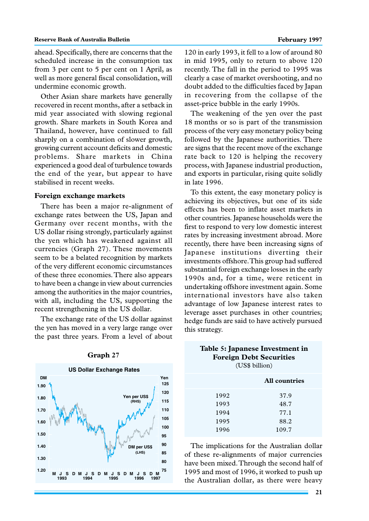ahead. Specifically, there are concerns that the scheduled increase in the consumption tax from 3 per cent to 5 per cent on 1 April, as well as more general fiscal consolidation, will undermine economic growth.

Other Asian share markets have generally recovered in recent months, after a setback in mid year associated with slowing regional growth. Share markets in South Korea and Thailand, however, have continued to fall sharply on a combination of slower growth, growing current account deficits and domestic problems. Share markets in China experienced a good deal of turbulence towards the end of the year, but appear to have stabilised in recent weeks.

#### **Foreign exchange markets**

There has been a major re-alignment of exchange rates between the US, Japan and Germany over recent months, with the US dollar rising strongly, particularly against the yen which has weakened against all currencies (Graph 27). These movements seem to be a belated recognition by markets of the very different economic circumstances of these three economies. There also appears to have been a change in view about currencies among the authorities in the major countries, with all, including the US, supporting the recent strengthening in the US dollar.

The exchange rate of the US dollar against the yen has moved in a very large range over the past three years. From a level of about



#### **Graph 27**

120 in early 1993, it fell to a low of around 80 in mid 1995, only to return to above 120 recently. The fall in the period to 1995 was clearly a case of market overshooting, and no doubt added to the difficulties faced by Japan in recovering from the collapse of the asset-price bubble in the early 1990s.

The weakening of the yen over the past 18 months or so is part of the transmission process of the very easy monetary policy being followed by the Japanese authorities. There are signs that the recent move of the exchange rate back to 120 is helping the recovery process, with Japanese industrial production, and exports in particular, rising quite solidly in late 1996.

To this extent, the easy monetary policy is achieving its objectives, but one of its side effects has been to inflate asset markets in other countries. Japanese households were the first to respond to very low domestic interest rates by increasing investment abroad. More recently, there have been increasing signs of Japanese institutions diverting their investments offshore. This group had suffered substantial foreign exchange losses in the early 1990s and, for a time, were reticent in undertaking offshore investment again. Some international investors have also taken advantage of low Japanese interest rates to leverage asset purchases in other countries; hedge funds are said to have actively pursued this strategy.

| Table 5: Japanese Investment in<br><b>Foreign Debt Securities</b><br>(US\$ billion) |                      |  |
|-------------------------------------------------------------------------------------|----------------------|--|
|                                                                                     | <b>All countries</b> |  |
| 1992                                                                                | 37.9                 |  |
| 1993                                                                                | 48.7                 |  |

| .    |                                                                                                                                         |
|------|-----------------------------------------------------------------------------------------------------------------------------------------|
| 1995 | 88.2                                                                                                                                    |
| 1996 | 109.7                                                                                                                                   |
|      | The implications for the Australian dollar<br>of these re-alignments of major currencies<br>have been mixed. Through the second half of |

1994 77.1

have been mixed. Through the second half of 1995 and most of 1996, it worked to push up the Australian dollar, as there were heavy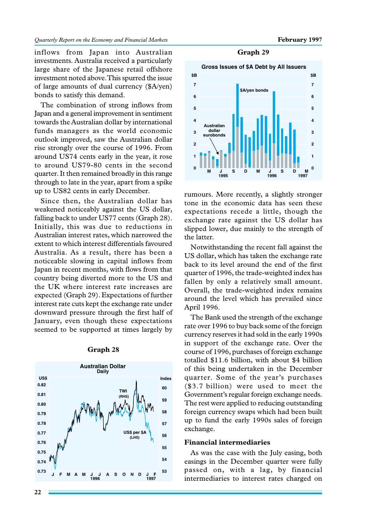inflows from Japan into Australian investments. Australia received a particularly large share of the Japanese retail offshore investment noted above. This spurred the issue of large amounts of dual currency (\$A/yen) bonds to satisfy this demand.

The combination of strong inflows from Japan and a general improvement in sentiment towards the Australian dollar by international funds managers as the world economic outlook improved, saw the Australian dollar rise strongly over the course of 1996. From around US74 cents early in the year, it rose to around US79-80 cents in the second quarter. It then remained broadly in this range through to late in the year, apart from a spike up to US82 cents in early December.

Since then, the Australian dollar has weakened noticeably against the US dollar, falling back to under US77 cents (Graph 28). Initially, this was due to reductions in Australian interest rates, which narrowed the extent to which interest differentials favoured Australia. As a result, there has been a noticeable slowing in capital inflows from Japan in recent months, with flows from that country being diverted more to the US and the UK where interest rate increases are expected (Graph 29). Expectations of further interest rate cuts kept the exchange rate under downward pressure through the first half of January, even though these expectations seemed to be supported at times largely by



#### **Graph 28**

**Graph 29**



rumours. More recently, a slightly stronger tone in the economic data has seen these expectations recede a little, though the exchange rate against the US dollar has slipped lower, due mainly to the strength of the latter.

Notwithstanding the recent fall against the US dollar, which has taken the exchange rate back to its level around the end of the first quarter of 1996, the trade-weighted index has fallen by only a relatively small amount. Overall, the trade-weighted index remains around the level which has prevailed since April 1996.

The Bank used the strength of the exchange rate over 1996 to buy back some of the foreign currency reserves it had sold in the early 1990s in support of the exchange rate. Over the course of 1996, purchases of foreign exchange totalled \$11.6 billion, with about \$4 billion of this being undertaken in the December quarter. Some of the year's purchases (\$3.7 billion) were used to meet the Government's regular foreign exchange needs. The rest were applied to reducing outstanding foreign currency swaps which had been built up to fund the early 1990s sales of foreign exchange.

#### **Financial intermediaries**

As was the case with the July easing, both easings in the December quarter were fully passed on, with a lag, by financial intermediaries to interest rates charged on